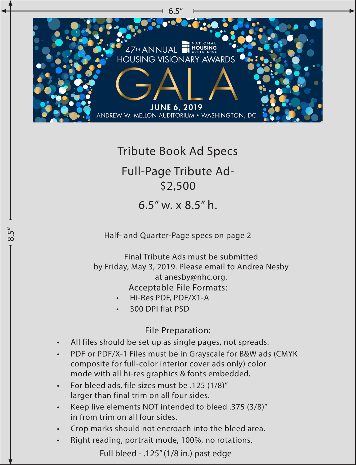

## Tribute Book Ad Specs

## Full-Page Tribute Ad- \$2,500

6.5" w. x 8.5" h.

Half- and Quarter-Page specs on page 2

Acceptable File Formats: Final Tribute Ads must be submitted by Friday, May 3, 2019. Please email to Andrea Nesby at anesby@nhc.org.

- Hi-Res PDF, PDF/X1-A
- 300 DPI flat PSD

.<br>თ<br>თ

File Preparation:

- All files should be set up as single pages, not spreads.
- PDF or PDF/X-1 Files must be in Grayscale for B&W ads (CMYK composite for full-color interior cover ads only) color mode with all hi-res graphics & fonts embedded.
- For bleed ads, file sizes must be .125 (1/8)" larger than final trim on all four sides.
- Keep live elements NOT intended to bleed .375 (3/8)" in from trim on all four sides.
- Crop marks should not encroach into the bleed area.
- Right reading, portrait mode, 100%, no rotations.

Full bleed - .125" (1/8 in.) past edge